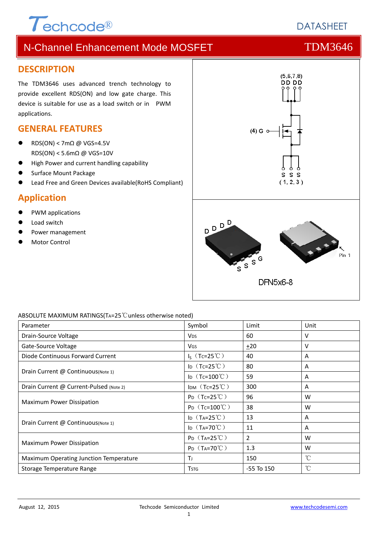# $\tau$ echcode®

# N-Channel Enhancement Mode MOSFET THE TDM3646

### **DESCRIPTION**

The TDM3646 uses advanced trench technology to provide excellent RDS(ON) and low gate charge. This device is suitable for use as a load switch or in PWM applications.

### **GENERAL FEATURES**

- $RDS(ON) < 7m\Omega$  @ VGS=4.5V RDS(ON) < 5.6mΩ @ VGS=10V
- High Power and current handling capability
- Surface Mount Package
- Lead Free and Green Devices available(RoHS Compliant)

### **Application**

- PWM applications
- Load switch
- Power management
- Motor Control



#### ABSOLUTE MAXIMUM RATINGS(TA=25℃unless otherwise noted)

| Parameter                               | Symbol                        | Limit          | Unit         |
|-----------------------------------------|-------------------------------|----------------|--------------|
| Drain-Source Voltage                    | <b>V<sub>DS</sub></b>         | 60             | v            |
| Gate-Source Voltage                     | <b>VGS</b>                    | $+20$          | v            |
| Diode Continuous Forward Current        | $I_5$ (Tc=25°C)               | 40             | A            |
| Drain Current @ Continuous(Note 1)      | ID $(Tc=25^{\circ}C)$         | 80             | A            |
|                                         | ID $(Tc=100^{\circ}C)$        | 59             | A            |
| Drain Current @ Current-Pulsed (Note 2) | IDM $(Tc=25^{\circ}C)$        | 300            | A            |
| <b>Maximum Power Dissipation</b>        | $P_D$ (Tc=25°C)               | 96             | W            |
|                                         | $P_D$ (Tc=100°C)              | 38             | W            |
| Drain Current @ Continuous (Note 1)     | ID $(T_A=25^{\circ}\text{C})$ | 13             | A            |
|                                         | ID $(T_A=70^{\circ}C)$        | 11             | A            |
| Maximum Power Dissipation               | $P_D$ (T <sub>A</sub> =25°C)  | $\overline{2}$ | W            |
|                                         | $P_D$ (T <sub>A</sub> =70°C)  | 1.3            | W            |
| Maximum Operating Junction Temperature  | Τı                            | 150            | °C           |
| Storage Temperature Range               | <b>T</b> stg                  | $-55$ To $150$ | $^{\circ}$ C |

# **DATASHEET**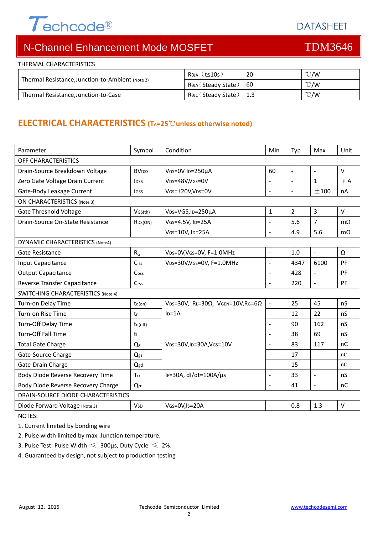

DATASHEET

# N-Channel Enhancement Mode MOSFET TOM3646

| THERMAL CHARACTERISTICS                          |                             |            |                |  |  |
|--------------------------------------------------|-----------------------------|------------|----------------|--|--|
| Thermal Resistance, Junction-to-Ambient (Note 2) | $Rtheta$ (t $\leq$ 10s)     | 20         | $^{\circ}$ C/W |  |  |
|                                                  | Reja (Steady State)         | <b>160</b> | $\degree$ C/W  |  |  |
| Thermal Resistance, Junction-to-Case             | Reuc (Steady State)   $1.3$ |            | $\degree$ C/W  |  |  |

## **ELECTRICAL CHARACTERISTICS (TA=25**℃**unless otherwise noted)**

| Parameter                                   | Symbol                   | Condition                                         | Min                      | Typ            | Max                 | Unit      |  |
|---------------------------------------------|--------------------------|---------------------------------------------------|--------------------------|----------------|---------------------|-----------|--|
| OFF CHARACTERISTICS                         |                          |                                                   |                          |                |                     |           |  |
| Drain-Source Breakdown Voltage              | <b>BV</b> <sub>DSS</sub> | VGS=0V ID=250µA                                   | 60                       | $\equiv$       | $\bar{\mathcal{L}}$ | $\vee$    |  |
| Zero Gate Voltage Drain Current             | <b>IDSS</b>              | VDS=48V, VGS=0V                                   |                          |                | $\mathbf{1}$        | $\mu$ A   |  |
| Gate-Body Leakage Current                   | lgss                     | VGS=±20V,VDS=0V                                   | $\blacksquare$           | $\sim$         | ±100                | nA        |  |
| <b>ON CHARACTERISTICS (Note 3)</b>          |                          |                                                   |                          |                |                     |           |  |
| <b>Gate Threshold Voltage</b>               | VGS(th)                  | VDS=VGS, ID=250µA                                 | 1                        | $\overline{2}$ | 3                   | $\vee$    |  |
| Drain-Source On-State Resistance<br>RDS(ON) |                          | VGS=4.5V, ID=25A                                  | $\overline{a}$           | 5.6            | $\overline{7}$      | $m\Omega$ |  |
|                                             |                          | VGS=10V, ID=25A                                   | $\overline{a}$           | 4.9            | 5.6                 | $m\Omega$ |  |
| DYNAMIC CHARACTERISTICS (Note4)             |                          |                                                   |                          |                |                     |           |  |
| <b>Gate Resistance</b>                      | $R_G$                    | VDS=0V, VGS=0V, F=1.0MHz                          | $\blacksquare$           | 1.0            | $\blacksquare$      | Ω         |  |
| Input Capacitance                           | Ciss                     | VDS=30V, VGS=0V, F=1.0MHz                         | $\overline{a}$           | 4347           | 6100                | PF        |  |
| <b>Output Capacitance</b>                   | Coss                     |                                                   | $\overline{a}$           | 428            | $\blacksquare$      | PF        |  |
| Reverse Transfer Capacitance                | Crss                     |                                                   | $\blacksquare$           | 220            | $\blacksquare$      | PF        |  |
| <b>SWITCHING CHARACTERISTICS (Note 4)</b>   |                          |                                                   |                          |                |                     |           |  |
| Turn-on Delay Time                          | $td($ on $)$             | VDS=30V, RL=30 $\Omega$ , VGEN=10V, RG=6 $\Omega$ | $\blacksquare$           | 25             | 45                  | nS        |  |
| Turn-on Rise Time                           | tr                       | $I_D = 1A$                                        | $\overline{a}$           | 12             | 22                  | nS        |  |
| Turn-Off Delay Time                         | td(off)                  |                                                   | $\blacksquare$           | 90             | 162                 | nS        |  |
| Turn-Off Fall Time                          | tf                       |                                                   | $\overline{a}$           | 38             | 69                  | nS        |  |
| <b>Total Gate Charge</b>                    | Q <sub>g</sub>           | VDS=30V,ID=30A,VGS=10V                            | $\blacksquare$           | 83             | 117                 | nC        |  |
| Gate-Source Charge                          | Qgs                      |                                                   | $\overline{\phantom{0}}$ | 17             | $\blacksquare$      | nC        |  |
| Gate-Drain Charge                           | Qgd                      |                                                   | $\overline{a}$           | 15             | $\blacksquare$      | nC        |  |
| Body Diode Reverse Recovery Time            | Trr                      | IF=30A, dl/dt=100A/µs                             | $\overline{a}$           | 33             | $\overline{a}$      | nS        |  |
| Body Diode Reverse Recovery Charge          | Qrr                      |                                                   | $\overline{a}$           | 41             | $\bar{\mathcal{L}}$ | nC        |  |
| DRAIN-SOURCE DIODE CHARACTERISTICS          |                          |                                                   |                          |                |                     |           |  |
| Diode Forward Voltage (Note 3)              | <b>V<sub>SD</sub></b>    | VGS=0V,Is=20A                                     | $\blacksquare$           | 0.8            | 1.3                 | $\vee$    |  |

NOTES:

1. Current limited by bonding wire

2. Pulse width limited by max. Junction temperature.

- 3. Pulse Test: Pulse Width  $\leq 300$ μs, Duty Cycle  $\leq 2\%$ .
- 4. Guaranteed by design, not subject to production testing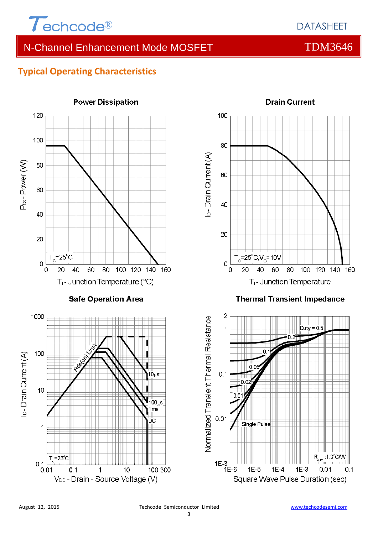

# N-Channel Enhancement Mode MOSFET THE TDM3646

### **Typical Operating Characteristics**

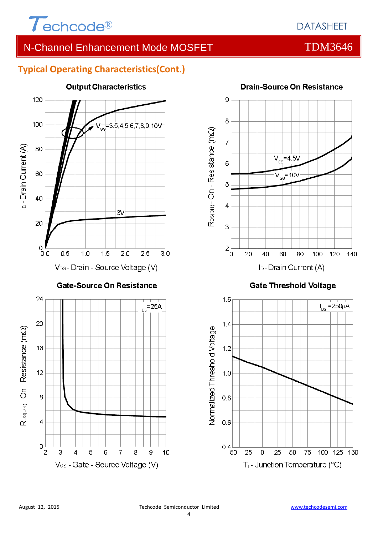

# N-Channel Enhancement Mode MOSFET THE TDM3646

### **Typical Operating Characteristics(Cont.)**



### **Output Characteristics**



### **Gate Threshold Voltage**

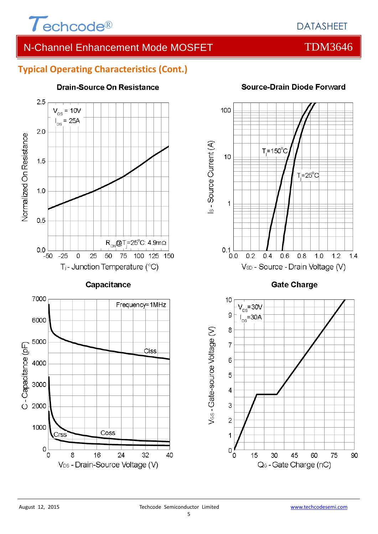

# N-Channel Enhancement Mode MOSFET THE TDM3646

### **Typical Operating Characteristics (Cont.)**



Coss

V<sub>DS</sub> - Drain-Source Voltage (V)

 $24$ 

32

16

#### **Drain-Source On Resistance**



#### **Source-Drain Diode Forward**

**Gate Charge** 



V<sub>cs</sub>-Gate-source Voltage (V)

1000

 $\mathbf 0$ 

0

Crss

8

40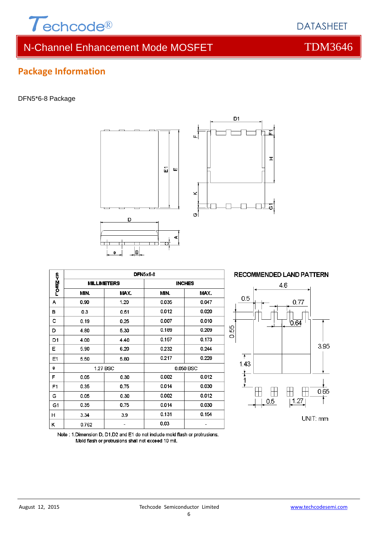

**Package Information**

DFN5\*6-8 Package

# N-Channel Enhancement Mode MOSFET THE TDM3646

**DFN5x6-8** гоড⊆≺и **MILLIMETERS INCHES** MIN. MAX. MIN. MAX.  $\overline{A}$  $1.20$ 0.90 0.035  $0.047$ B  $0.3$ 0.51 0.012  $0.020$  $\mathbf{c}$  $0.19$  $0.25$ 0.007 0.010  $\overline{\mathsf{D}}$  $0.189$  $0.209$ 4.80 5.30 0.173 0.157 D<sub>1</sub> 4.00 4.40 E 6.20 0.232 0.244 5.90 0.217 0.228  $E<sub>1</sub>$ 5.50 5.80 e 1.27 BSC 0.050 BSC F 0.002 0.05 0.30 0.012  $0.014$ 0.030 0.75  $F<sub>1</sub>$ 0.35 G 0.30 0.002 0.012 0.05 0.014 G1 0.35 0.75 0.030  $0.131$ 0.154  $H$  $3.34$  $3.9$ 0.03  $\overline{a}$ K 0.762  $\bar{\phantom{a}}$ 

Note: 1. Dimension D, D1, D2 and E1 do not include mold flash or protrusions. Mold flash or protrusions shall not exceed 10 mil.



面 Ш







# **DATASHEET**